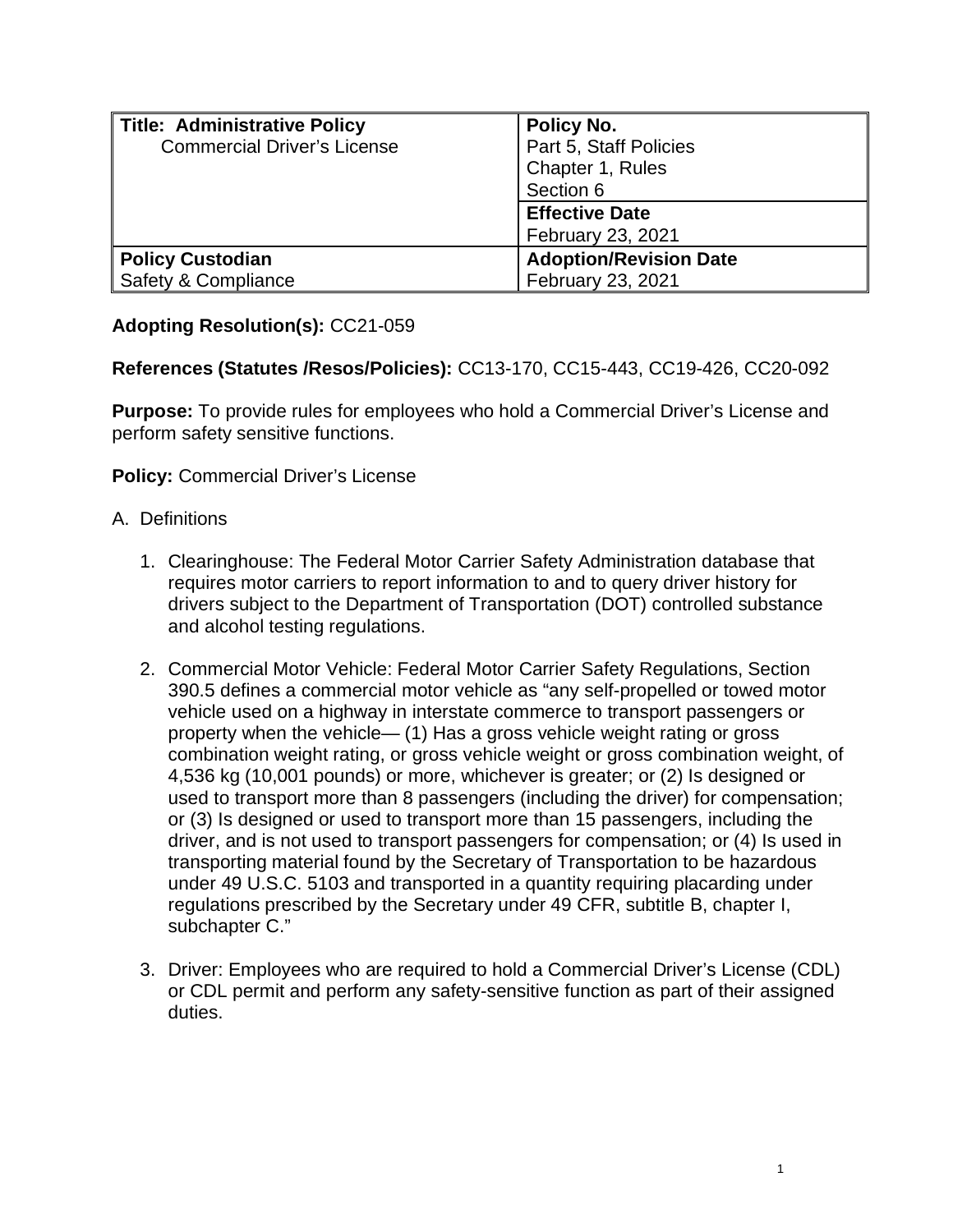| <b>Title: Administrative Policy</b> | <b>Policy No.</b>             |
|-------------------------------------|-------------------------------|
| <b>Commercial Driver's License</b>  | Part 5, Staff Policies        |
|                                     | Chapter 1, Rules              |
|                                     | Section 6                     |
|                                     | <b>Effective Date</b>         |
|                                     | February 23, 2021             |
| <b>Policy Custodian</b>             | <b>Adoption/Revision Date</b> |
| Safety & Compliance                 | February 23, 2021             |

## **Adopting Resolution(s):** CC21-059

## **References (Statutes /Resos/Policies):** CC13-170, CC15-443, CC19-426, CC20-092

**Purpose:** To provide rules for employees who hold a Commercial Driver's License and perform safety sensitive functions.

**Policy:** Commercial Driver's License

## A. Definitions

- 1. Clearinghouse: The Federal Motor Carrier Safety Administration database that requires motor carriers to report information to and to query driver history for drivers subject to the Department of Transportation (DOT) controlled substance and alcohol testing regulations.
- 2. Commercial Motor Vehicle: Federal Motor Carrier Safety Regulations, Section 390.5 defines a commercial motor vehicle as "any self-propelled or towed motor vehicle used on a highway in interstate commerce to transport passengers or property when the vehicle— (1) Has a gross vehicle weight rating or gross combination weight rating, or gross vehicle weight or gross combination weight, of 4,536 kg (10,001 pounds) or more, whichever is greater; or (2) Is designed or used to transport more than 8 passengers (including the driver) for compensation; or (3) Is designed or used to transport more than 15 passengers, including the driver, and is not used to transport passengers for compensation; or (4) Is used in transporting material found by the Secretary of Transportation to be hazardous under 49 U.S.C. 5103 and transported in a quantity requiring placarding under regulations prescribed by the Secretary under 49 CFR, subtitle B, chapter I, subchapter C."
- 3. Driver: Employees who are required to hold a Commercial Driver's License (CDL) or CDL permit and perform any safety-sensitive function as part of their assigned duties.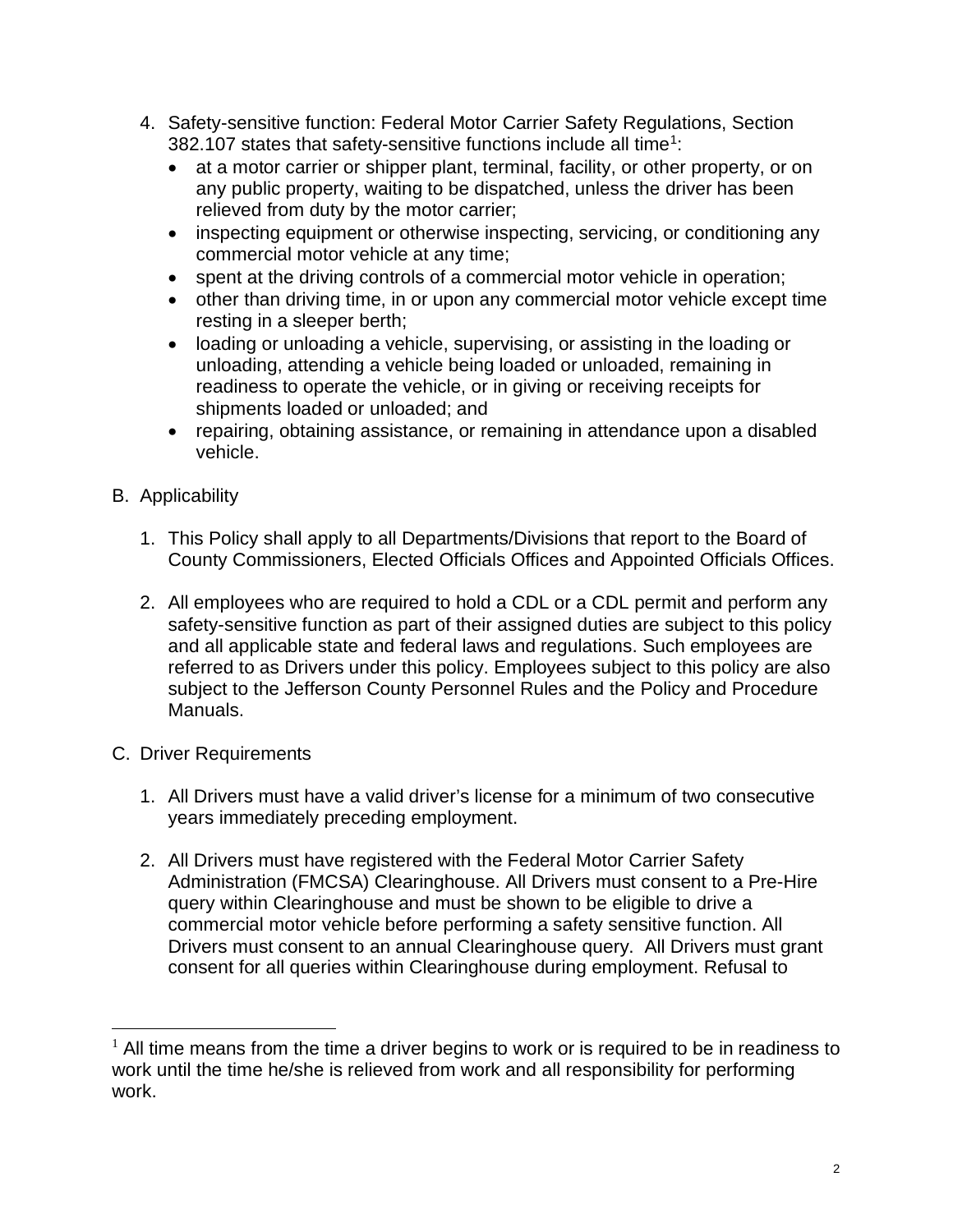- 4. Safety-sensitive function: Federal Motor Carrier Safety Regulations, Section 382.[1](#page-1-0)07 states that safety-sensitive functions include all time<sup>1</sup>:
	- at a motor carrier or shipper plant, terminal, facility, or other property, or on any public property, waiting to be dispatched, unless the driver has been relieved from duty by the motor carrier;
	- inspecting equipment or otherwise inspecting, servicing, or conditioning any commercial motor vehicle at any time;
	- spent at the driving controls of a commercial motor vehicle in operation;
	- other than driving time, in or upon any commercial motor vehicle except time resting in a sleeper berth;
	- loading or unloading a vehicle, supervising, or assisting in the loading or unloading, attending a vehicle being loaded or unloaded, remaining in readiness to operate the vehicle, or in giving or receiving receipts for shipments loaded or unloaded; and
	- repairing, obtaining assistance, or remaining in attendance upon a disabled vehicle.
- B. Applicability
	- 1. This Policy shall apply to all Departments/Divisions that report to the Board of County Commissioners, Elected Officials Offices and Appointed Officials Offices.
	- 2. All employees who are required to hold a CDL or a CDL permit and perform any safety-sensitive function as part of their assigned duties are subject to this policy and all applicable state and federal laws and regulations. Such employees are referred to as Drivers under this policy. Employees subject to this policy are also subject to the Jefferson County Personnel Rules and the Policy and Procedure Manuals.
- C. Driver Requirements
	- 1. All Drivers must have a valid driver's license for a minimum of two consecutive years immediately preceding employment.
	- 2. All Drivers must have registered with the Federal Motor Carrier Safety Administration (FMCSA) Clearinghouse. All Drivers must consent to a Pre-Hire query within Clearinghouse and must be shown to be eligible to drive a commercial motor vehicle before performing a safety sensitive function. All Drivers must consent to an annual Clearinghouse query. All Drivers must grant consent for all queries within Clearinghouse during employment. Refusal to

<span id="page-1-0"></span> $1$  All time means from the time a driver begins to work or is required to be in readiness to work until the time he/she is relieved from work and all responsibility for performing work.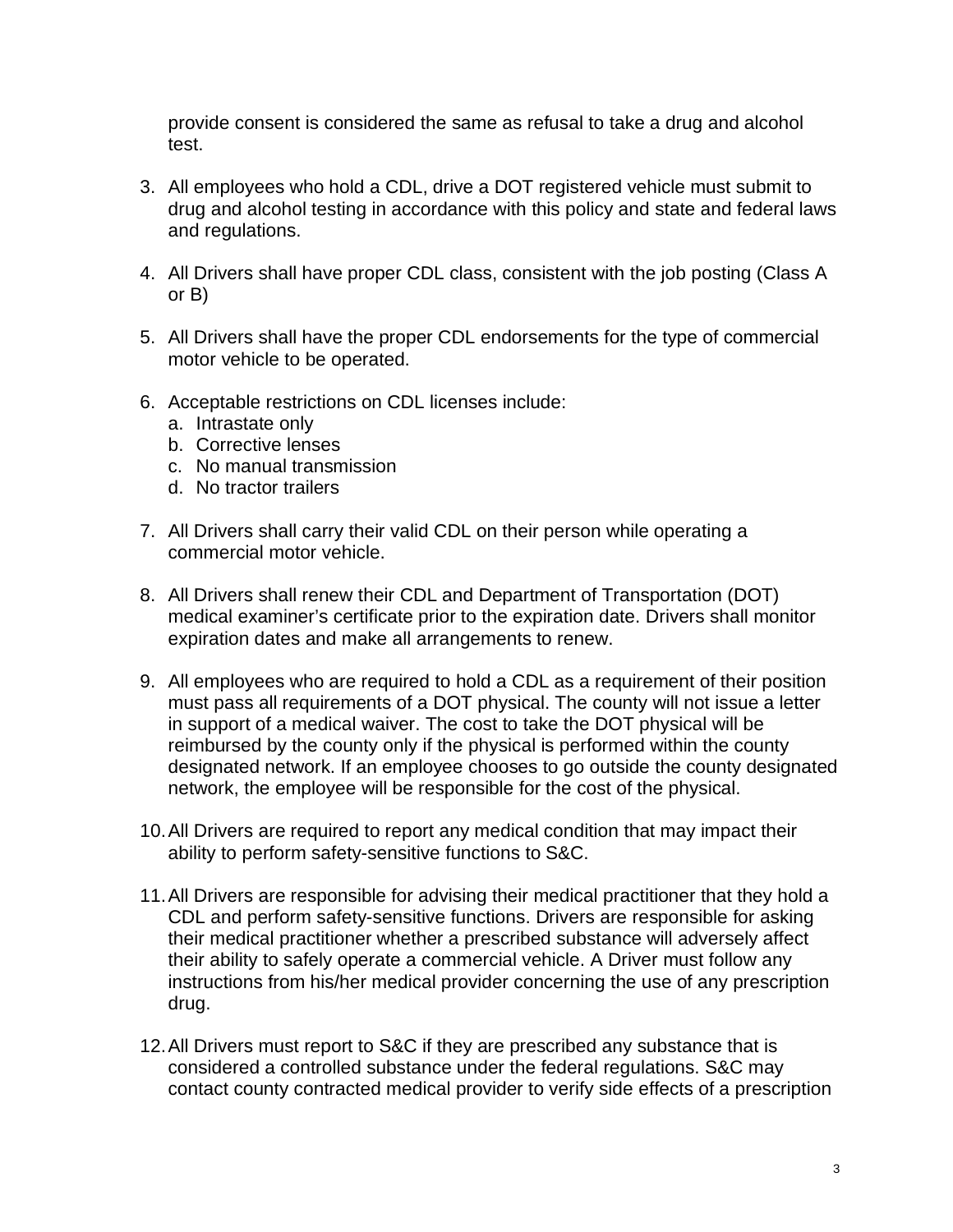provide consent is considered the same as refusal to take a drug and alcohol test.

- 3. All employees who hold a CDL, drive a DOT registered vehicle must submit to drug and alcohol testing in accordance with this policy and state and federal laws and regulations.
- 4. All Drivers shall have proper CDL class, consistent with the job posting (Class A or B)
- 5. All Drivers shall have the proper CDL endorsements for the type of commercial motor vehicle to be operated.
- 6. Acceptable restrictions on CDL licenses include:
	- a. Intrastate only
	- b. Corrective lenses
	- c. No manual transmission
	- d. No tractor trailers
- 7. All Drivers shall carry their valid CDL on their person while operating a commercial motor vehicle.
- 8. All Drivers shall renew their CDL and Department of Transportation (DOT) medical examiner's certificate prior to the expiration date. Drivers shall monitor expiration dates and make all arrangements to renew.
- 9. All employees who are required to hold a CDL as a requirement of their position must pass all requirements of a DOT physical. The county will not issue a letter in support of a medical waiver. The cost to take the DOT physical will be reimbursed by the county only if the physical is performed within the county designated network. If an employee chooses to go outside the county designated network, the employee will be responsible for the cost of the physical.
- 10.All Drivers are required to report any medical condition that may impact their ability to perform safety-sensitive functions to S&C.
- 11.All Drivers are responsible for advising their medical practitioner that they hold a CDL and perform safety-sensitive functions. Drivers are responsible for asking their medical practitioner whether a prescribed substance will adversely affect their ability to safely operate a commercial vehicle. A Driver must follow any instructions from his/her medical provider concerning the use of any prescription drug.
- 12.All Drivers must report to S&C if they are prescribed any substance that is considered a controlled substance under the federal regulations. S&C may contact county contracted medical provider to verify side effects of a prescription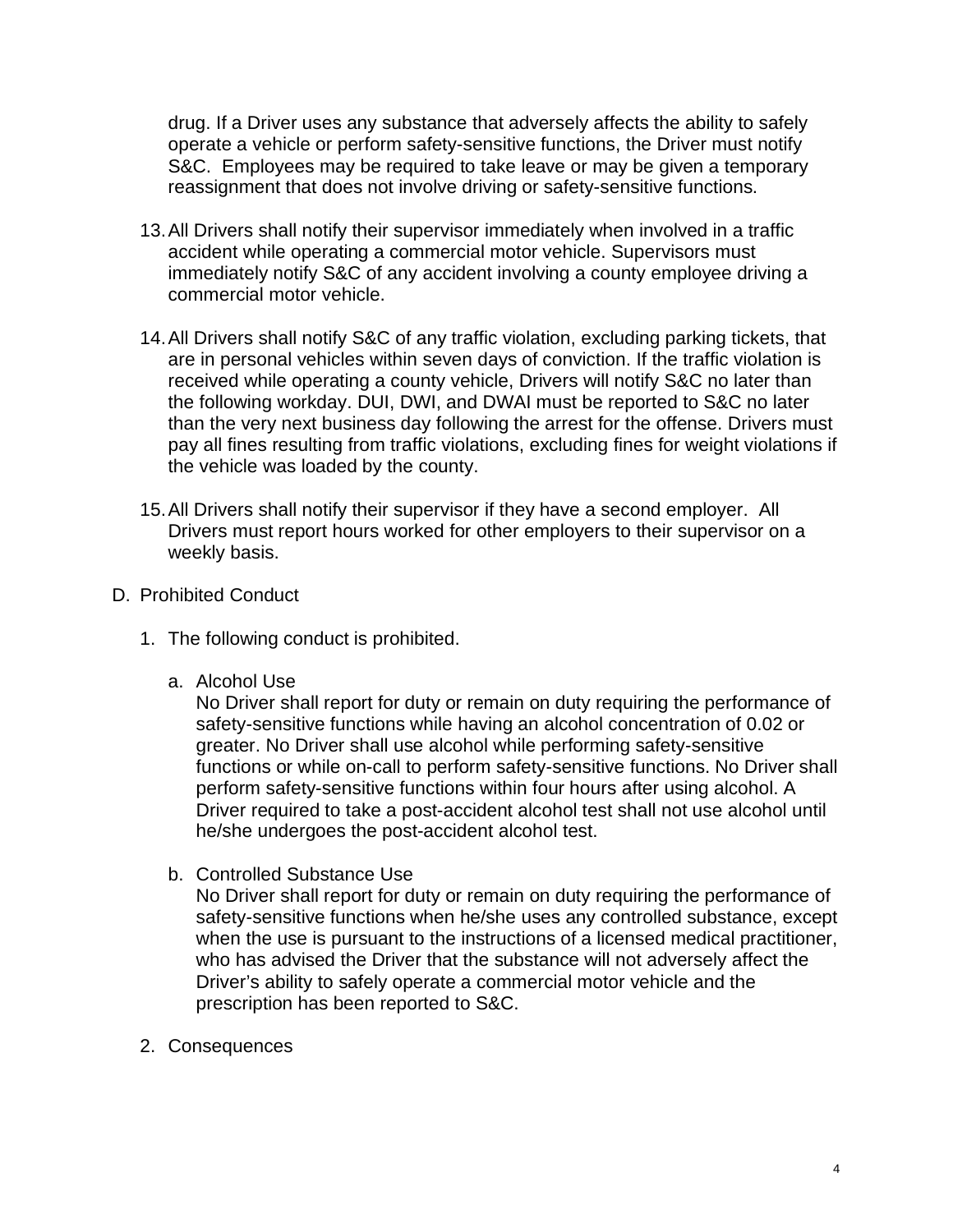drug. If a Driver uses any substance that adversely affects the ability to safely operate a vehicle or perform safety-sensitive functions, the Driver must notify S&C. Employees may be required to take leave or may be given a temporary reassignment that does not involve driving or safety-sensitive functions.

- 13.All Drivers shall notify their supervisor immediately when involved in a traffic accident while operating a commercial motor vehicle. Supervisors must immediately notify S&C of any accident involving a county employee driving a commercial motor vehicle.
- 14.All Drivers shall notify S&C of any traffic violation, excluding parking tickets, that are in personal vehicles within seven days of conviction. If the traffic violation is received while operating a county vehicle, Drivers will notify S&C no later than the following workday. DUI, DWI, and DWAI must be reported to S&C no later than the very next business day following the arrest for the offense. Drivers must pay all fines resulting from traffic violations, excluding fines for weight violations if the vehicle was loaded by the county.
- 15.All Drivers shall notify their supervisor if they have a second employer. All Drivers must report hours worked for other employers to their supervisor on a weekly basis.
- D. Prohibited Conduct
	- 1. The following conduct is prohibited.
		- a. Alcohol Use

No Driver shall report for duty or remain on duty requiring the performance of safety-sensitive functions while having an alcohol concentration of 0.02 or greater. No Driver shall use alcohol while performing safety-sensitive functions or while on-call to perform safety-sensitive functions. No Driver shall perform safety-sensitive functions within four hours after using alcohol. A Driver required to take a post-accident alcohol test shall not use alcohol until he/she undergoes the post-accident alcohol test.

b. Controlled Substance Use

No Driver shall report for duty or remain on duty requiring the performance of safety-sensitive functions when he/she uses any controlled substance, except when the use is pursuant to the instructions of a licensed medical practitioner, who has advised the Driver that the substance will not adversely affect the Driver's ability to safely operate a commercial motor vehicle and the prescription has been reported to S&C.

2. Consequences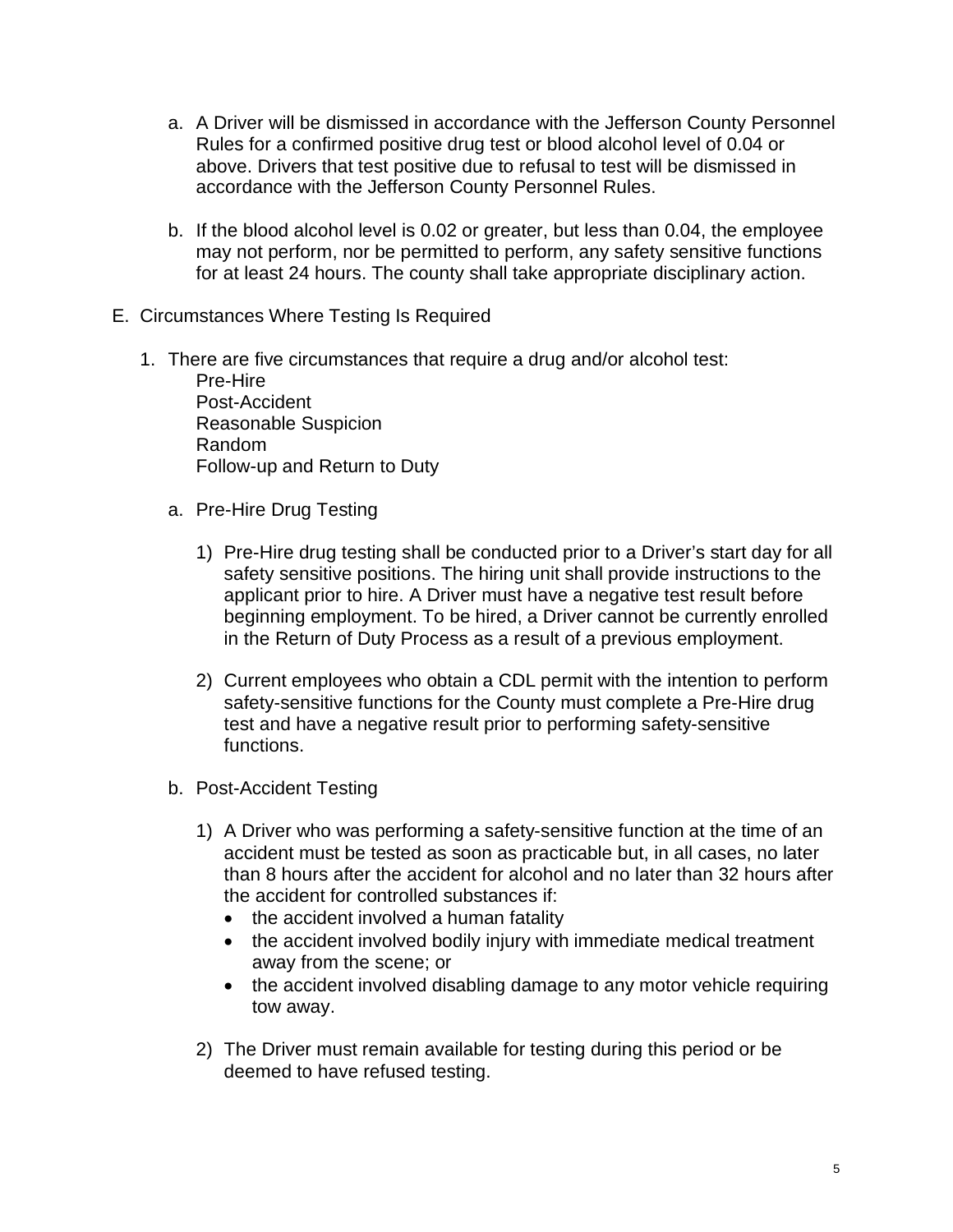- a. A Driver will be dismissed in accordance with the Jefferson County Personnel Rules for a confirmed positive drug test or blood alcohol level of 0.04 or above. Drivers that test positive due to refusal to test will be dismissed in accordance with the Jefferson County Personnel Rules.
- b. If the blood alcohol level is 0.02 or greater, but less than 0.04, the employee may not perform, nor be permitted to perform, any safety sensitive functions for at least 24 hours. The county shall take appropriate disciplinary action.
- E. Circumstances Where Testing Is Required
	- 1. There are five circumstances that require a drug and/or alcohol test:

Pre-Hire Post-Accident Reasonable Suspicion Random Follow-up and Return to Duty

- a. Pre-Hire Drug Testing
	- 1) Pre-Hire drug testing shall be conducted prior to a Driver's start day for all safety sensitive positions. The hiring unit shall provide instructions to the applicant prior to hire. A Driver must have a negative test result before beginning employment. To be hired, a Driver cannot be currently enrolled in the Return of Duty Process as a result of a previous employment.
	- 2) Current employees who obtain a CDL permit with the intention to perform safety-sensitive functions for the County must complete a Pre-Hire drug test and have a negative result prior to performing safety-sensitive functions.
- b. Post-Accident Testing
	- 1) A Driver who was performing a safety-sensitive function at the time of an accident must be tested as soon as practicable but, in all cases, no later than 8 hours after the accident for alcohol and no later than 32 hours after the accident for controlled substances if:
		- the accident involved a human fatality
		- the accident involved bodily injury with immediate medical treatment away from the scene; or
		- the accident involved disabling damage to any motor vehicle requiring tow away.
	- 2) The Driver must remain available for testing during this period or be deemed to have refused testing.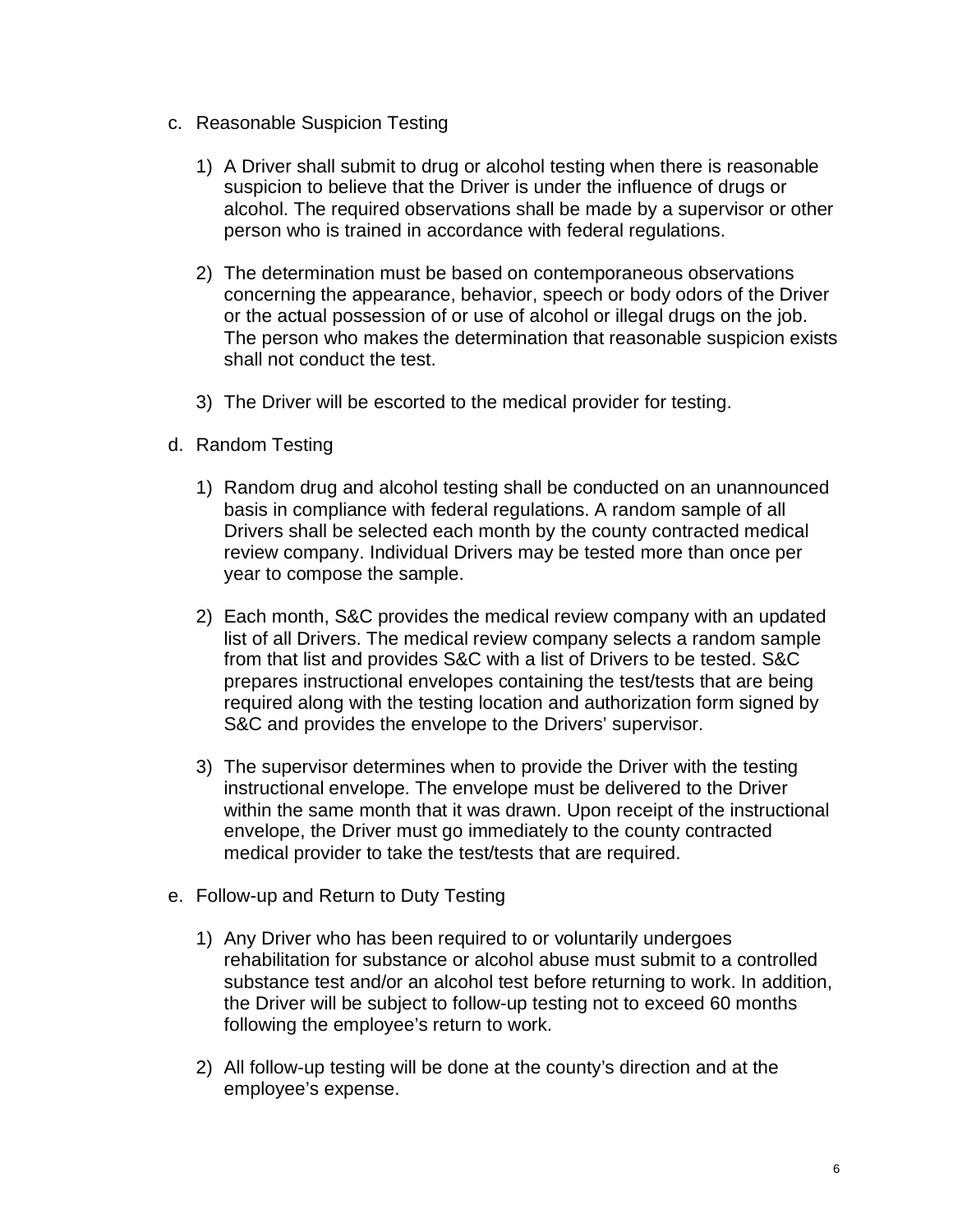- c. Reasonable Suspicion Testing
	- 1) A Driver shall submit to drug or alcohol testing when there is reasonable suspicion to believe that the Driver is under the influence of drugs or alcohol. The required observations shall be made by a supervisor or other person who is trained in accordance with federal regulations.
	- 2) The determination must be based on contemporaneous observations concerning the appearance, behavior, speech or body odors of the Driver or the actual possession of or use of alcohol or illegal drugs on the job. The person who makes the determination that reasonable suspicion exists shall not conduct the test.
	- 3) The Driver will be escorted to the medical provider for testing.
- d. Random Testing
	- 1) Random drug and alcohol testing shall be conducted on an unannounced basis in compliance with federal regulations. A random sample of all Drivers shall be selected each month by the county contracted medical review company. Individual Drivers may be tested more than once per year to compose the sample.
	- 2) Each month, S&C provides the medical review company with an updated list of all Drivers. The medical review company selects a random sample from that list and provides S&C with a list of Drivers to be tested. S&C prepares instructional envelopes containing the test/tests that are being required along with the testing location and authorization form signed by S&C and provides the envelope to the Drivers' supervisor.
	- 3) The supervisor determines when to provide the Driver with the testing instructional envelope. The envelope must be delivered to the Driver within the same month that it was drawn. Upon receipt of the instructional envelope, the Driver must go immediately to the county contracted medical provider to take the test/tests that are required.
- e. Follow-up and Return to Duty Testing
	- 1) Any Driver who has been required to or voluntarily undergoes rehabilitation for substance or alcohol abuse must submit to a controlled substance test and/or an alcohol test before returning to work. In addition, the Driver will be subject to follow-up testing not to exceed 60 months following the employee's return to work.
	- 2) All follow-up testing will be done at the county's direction and at the employee's expense.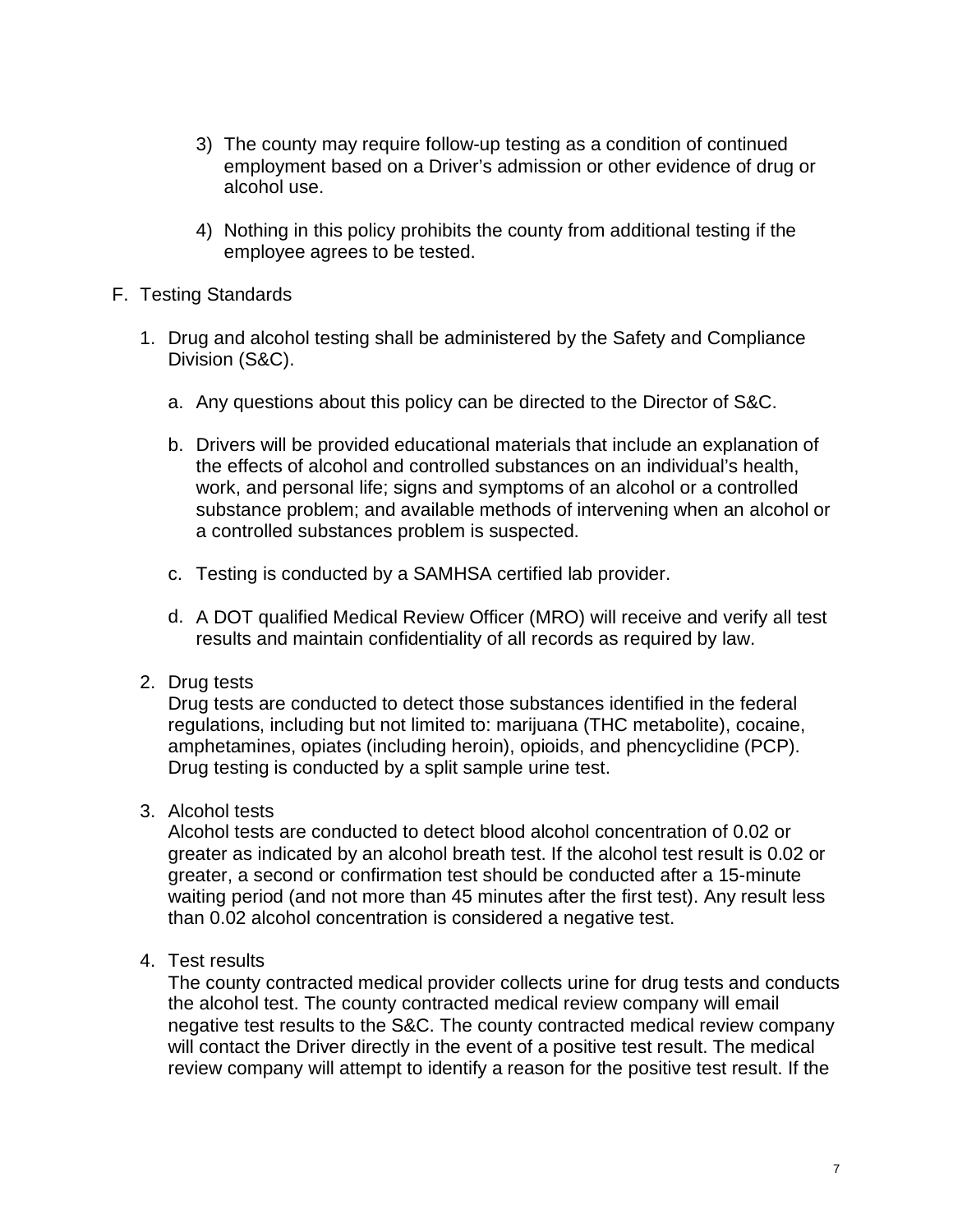- 3) The county may require follow-up testing as a condition of continued employment based on a Driver's admission or other evidence of drug or alcohol use.
- 4) Nothing in this policy prohibits the county from additional testing if the employee agrees to be tested.
- F. Testing Standards
	- 1. Drug and alcohol testing shall be administered by the Safety and Compliance Division (S&C).
		- a. Any questions about this policy can be directed to the Director of S&C.
		- b. Drivers will be provided educational materials that include an explanation of the effects of alcohol and controlled substances on an individual's health, work, and personal life; signs and symptoms of an alcohol or a controlled substance problem; and available methods of intervening when an alcohol or a controlled substances problem is suspected.
		- c. Testing is conducted by a SAMHSA certified lab provider.
		- d. A DOT qualified Medical Review Officer (MRO) will receive and verify all test results and maintain confidentiality of all records as required by law.

## 2. Drug tests

Drug tests are conducted to detect those substances identified in the federal regulations, including but not limited to: marijuana (THC metabolite), cocaine, amphetamines, opiates (including heroin), opioids, and phencyclidine (PCP). Drug testing is conducted by a split sample urine test.

3. Alcohol tests

Alcohol tests are conducted to detect blood alcohol concentration of 0.02 or greater as indicated by an alcohol breath test. If the alcohol test result is 0.02 or greater, a second or confirmation test should be conducted after a 15-minute waiting period (and not more than 45 minutes after the first test). Any result less than 0.02 alcohol concentration is considered a negative test.

4. Test results

The county contracted medical provider collects urine for drug tests and conducts the alcohol test. The county contracted medical review company will email negative test results to the S&C. The county contracted medical review company will contact the Driver directly in the event of a positive test result. The medical review company will attempt to identify a reason for the positive test result. If the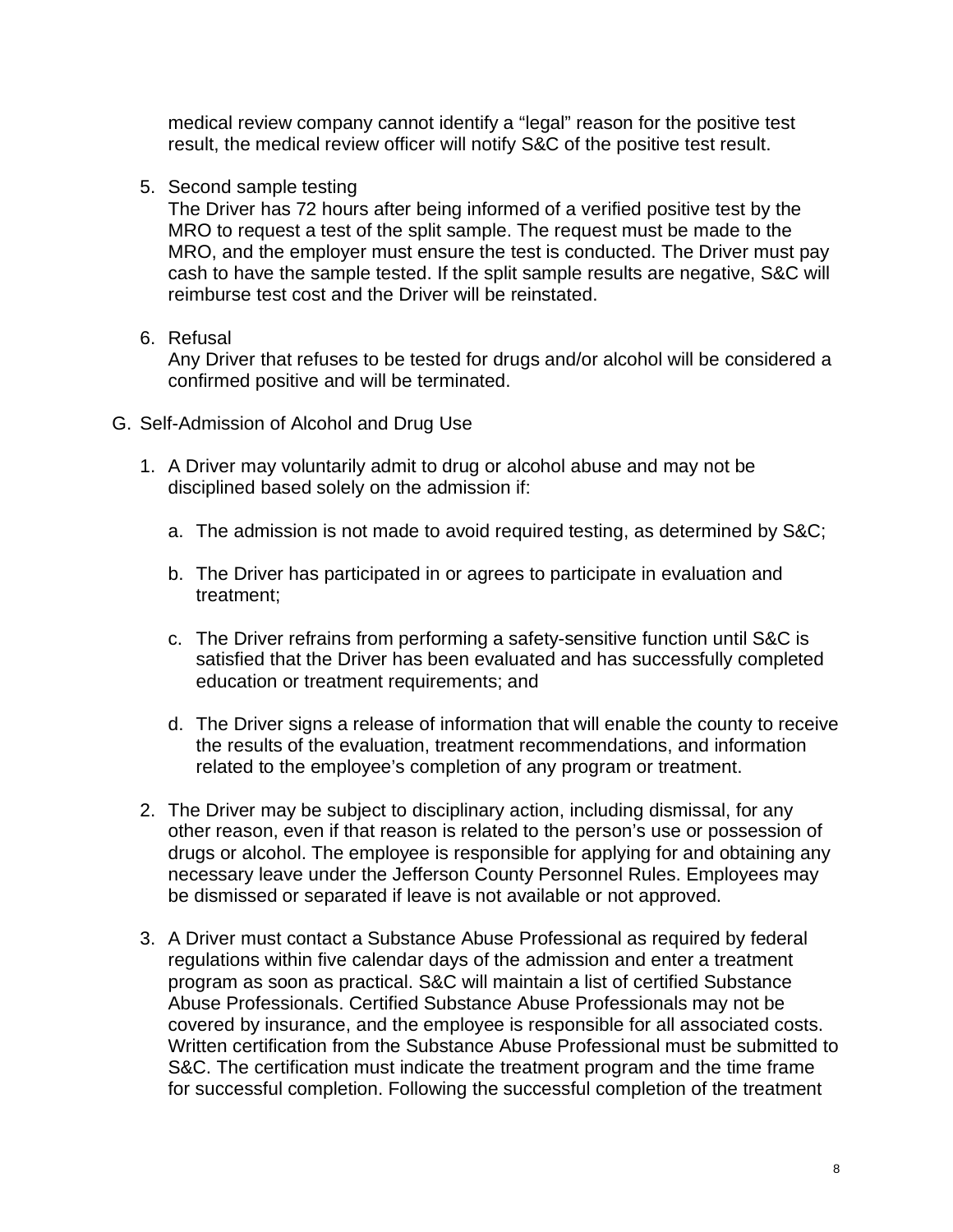medical review company cannot identify a "legal" reason for the positive test result, the medical review officer will notify S&C of the positive test result.

5. Second sample testing

The Driver has 72 hours after being informed of a verified positive test by the MRO to request a test of the split sample. The request must be made to the MRO, and the employer must ensure the test is conducted. The Driver must pay cash to have the sample tested. If the split sample results are negative, S&C will reimburse test cost and the Driver will be reinstated.

6. Refusal

Any Driver that refuses to be tested for drugs and/or alcohol will be considered a confirmed positive and will be terminated.

- G. Self-Admission of Alcohol and Drug Use
	- 1. A Driver may voluntarily admit to drug or alcohol abuse and may not be disciplined based solely on the admission if:
		- a. The admission is not made to avoid required testing, as determined by S&C;
		- b. The Driver has participated in or agrees to participate in evaluation and treatment;
		- c. The Driver refrains from performing a safety-sensitive function until S&C is satisfied that the Driver has been evaluated and has successfully completed education or treatment requirements; and
		- d. The Driver signs a release of information that will enable the county to receive the results of the evaluation, treatment recommendations, and information related to the employee's completion of any program or treatment.
	- 2. The Driver may be subject to disciplinary action, including dismissal, for any other reason, even if that reason is related to the person's use or possession of drugs or alcohol. The employee is responsible for applying for and obtaining any necessary leave under the Jefferson County Personnel Rules. Employees may be dismissed or separated if leave is not available or not approved.
	- 3. A Driver must contact a Substance Abuse Professional as required by federal regulations within five calendar days of the admission and enter a treatment program as soon as practical. S&C will maintain a list of certified Substance Abuse Professionals. Certified Substance Abuse Professionals may not be covered by insurance, and the employee is responsible for all associated costs. Written certification from the Substance Abuse Professional must be submitted to S&C. The certification must indicate the treatment program and the time frame for successful completion. Following the successful completion of the treatment